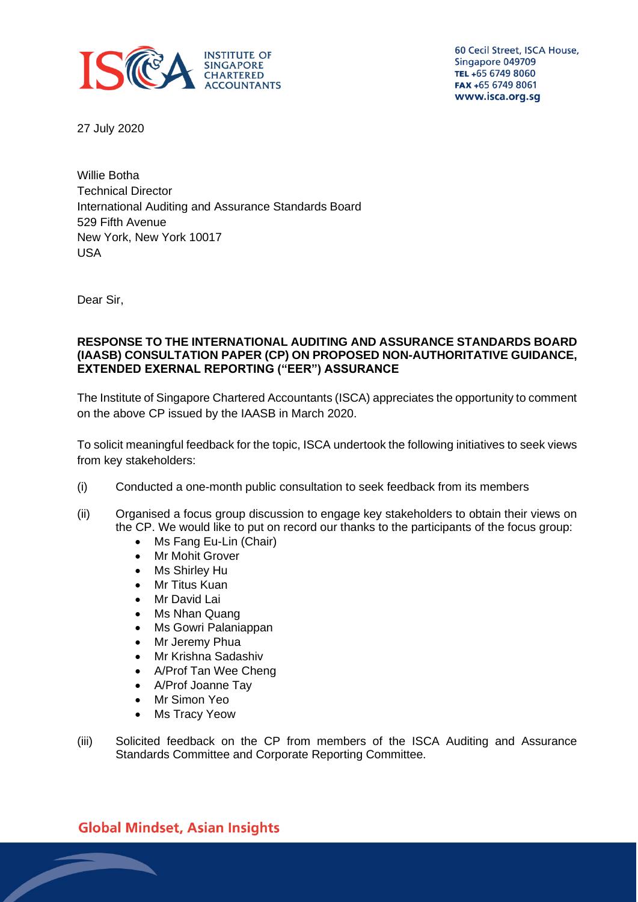

60 Cecil Street, ISCA House, Singapore 049709 TEL +65 6749 8060 FAX +65 6749 8061 www.isca.org.sg

27 July 2020

Willie Botha Technical Director International Auditing and Assurance Standards Board 529 Fifth Avenue New York, New York 10017 USA

Dear Sir,

#### **RESPONSE TO THE INTERNATIONAL AUDITING AND ASSURANCE STANDARDS BOARD (IAASB) CONSULTATION PAPER (CP) ON PROPOSED NON-AUTHORITATIVE GUIDANCE, EXTENDED EXERNAL REPORTING ("EER") ASSURANCE**

The Institute of Singapore Chartered Accountants (ISCA) appreciates the opportunity to comment on the above CP issued by the IAASB in March 2020.

To solicit meaningful feedback for the topic, ISCA undertook the following initiatives to seek views from key stakeholders:

- (i) Conducted a one-month public consultation to seek feedback from its members
- (ii) Organised a focus group discussion to engage key stakeholders to obtain their views on the CP. We would like to put on record our thanks to the participants of the focus group:
	- Ms Fang Eu-Lin (Chair)
	- Mr Mohit Grover
	- Ms Shirley Hu
	- Mr Titus Kuan
	- Mr David Lai
	- Ms Nhan Quang
	- Ms Gowri Palaniappan
	- Mr Jeremy Phua
	- Mr Krishna Sadashiv
	- A/Prof Tan Wee Cheng
	- A/Prof Joanne Tay
	- Mr Simon Yeo
	- Ms Tracy Yeow
- (iii) Solicited feedback on the CP from members of the ISCA Auditing and Assurance Standards Committee and Corporate Reporting Committee.

**Global Mindset, Asian Insights**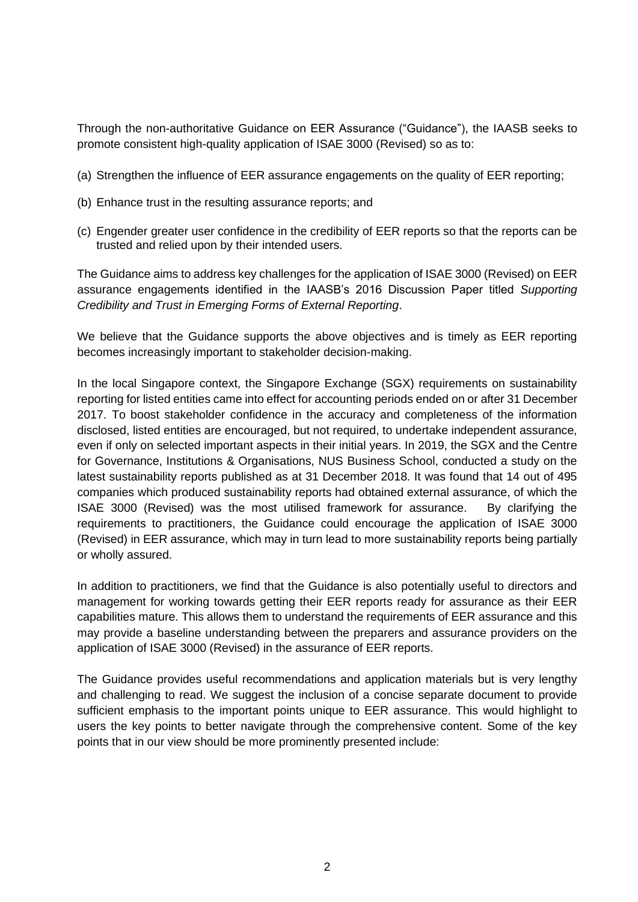Through the non-authoritative Guidance on EER Assurance ("Guidance"), the IAASB seeks to promote consistent high-quality application of ISAE 3000 (Revised) so as to:

- (a) Strengthen the influence of EER assurance engagements on the quality of EER reporting;
- (b) Enhance trust in the resulting assurance reports; and
- (c) Engender greater user confidence in the credibility of EER reports so that the reports can be trusted and relied upon by their intended users.

The Guidance aims to address key challenges for the application of ISAE 3000 (Revised) on EER assurance engagements identified in the IAASB's 2016 Discussion Paper titled *Supporting Credibility and Trust in Emerging Forms of External Reporting*.

We believe that the Guidance supports the above objectives and is timely as EER reporting becomes increasingly important to stakeholder decision-making.

In the local Singapore context, the Singapore Exchange (SGX) requirements on sustainability reporting for listed entities came into effect for accounting periods ended on or after 31 December 2017. To boost stakeholder confidence in the accuracy and completeness of the information disclosed, listed entities are encouraged, but not required, to undertake independent assurance, even if only on selected important aspects in their initial years. In 2019, the SGX and the Centre for Governance, Institutions & Organisations, NUS Business School, conducted a study on the latest sustainability reports published as at 31 December 2018. It was found that 14 out of 495 companies which produced sustainability reports had obtained external assurance, of which the ISAE 3000 (Revised) was the most utilised framework for assurance. By clarifying the requirements to practitioners, the Guidance could encourage the application of ISAE 3000 (Revised) in EER assurance, which may in turn lead to more sustainability reports being partially or wholly assured.

In addition to practitioners, we find that the Guidance is also potentially useful to directors and management for working towards getting their EER reports ready for assurance as their EER capabilities mature. This allows them to understand the requirements of EER assurance and this may provide a baseline understanding between the preparers and assurance providers on the application of ISAE 3000 (Revised) in the assurance of EER reports.

The Guidance provides useful recommendations and application materials but is very lengthy and challenging to read. We suggest the inclusion of a concise separate document to provide sufficient emphasis to the important points unique to EER assurance. This would highlight to users the key points to better navigate through the comprehensive content. Some of the key points that in our view should be more prominently presented include: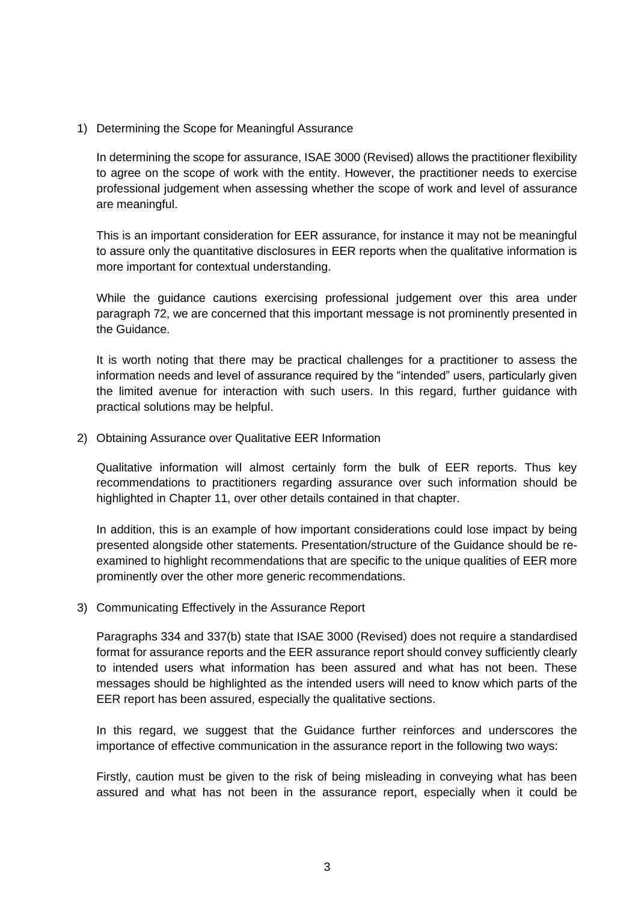1) Determining the Scope for Meaningful Assurance

In determining the scope for assurance, ISAE 3000 (Revised) allows the practitioner flexibility to agree on the scope of work with the entity. However, the practitioner needs to exercise professional judgement when assessing whether the scope of work and level of assurance are meaningful.

This is an important consideration for EER assurance, for instance it may not be meaningful to assure only the quantitative disclosures in EER reports when the qualitative information is more important for contextual understanding.

While the guidance cautions exercising professional judgement over this area under paragraph 72, we are concerned that this important message is not prominently presented in the Guidance.

It is worth noting that there may be practical challenges for a practitioner to assess the information needs and level of assurance required by the "intended" users, particularly given the limited avenue for interaction with such users. In this regard, further guidance with practical solutions may be helpful.

2) Obtaining Assurance over Qualitative EER Information

Qualitative information will almost certainly form the bulk of EER reports. Thus key recommendations to practitioners regarding assurance over such information should be highlighted in Chapter 11, over other details contained in that chapter.

In addition, this is an example of how important considerations could lose impact by being presented alongside other statements. Presentation/structure of the Guidance should be reexamined to highlight recommendations that are specific to the unique qualities of EER more prominently over the other more generic recommendations.

3) Communicating Effectively in the Assurance Report

Paragraphs 334 and 337(b) state that ISAE 3000 (Revised) does not require a standardised format for assurance reports and the EER assurance report should convey sufficiently clearly to intended users what information has been assured and what has not been. These messages should be highlighted as the intended users will need to know which parts of the EER report has been assured, especially the qualitative sections.

In this regard, we suggest that the Guidance further reinforces and underscores the importance of effective communication in the assurance report in the following two ways:

Firstly, caution must be given to the risk of being misleading in conveying what has been assured and what has not been in the assurance report, especially when it could be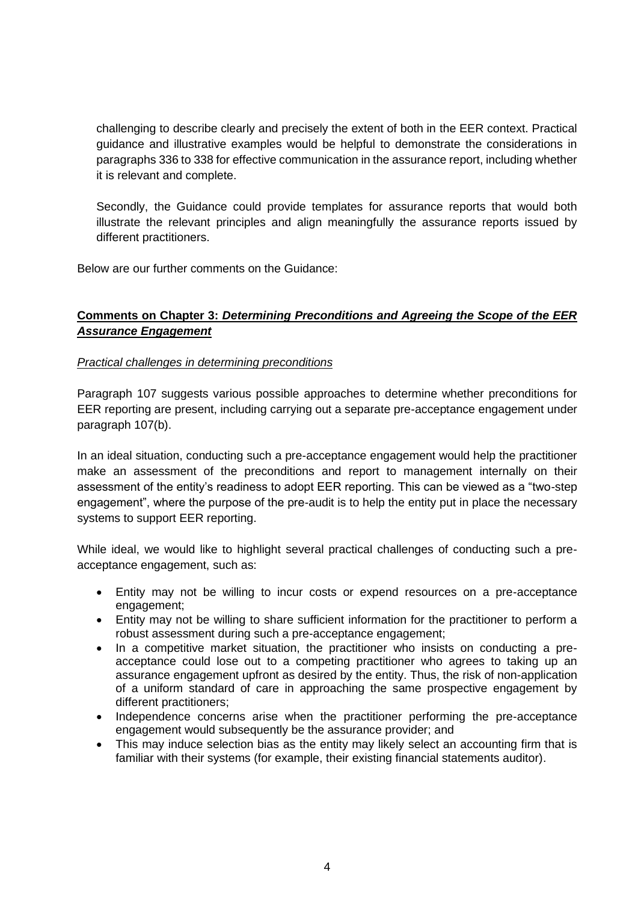challenging to describe clearly and precisely the extent of both in the EER context. Practical guidance and illustrative examples would be helpful to demonstrate the considerations in paragraphs 336 to 338 for effective communication in the assurance report, including whether it is relevant and complete.

Secondly, the Guidance could provide templates for assurance reports that would both illustrate the relevant principles and align meaningfully the assurance reports issued by different practitioners.

Below are our further comments on the Guidance:

## **Comments on Chapter 3:** *Determining Preconditions and Agreeing the Scope of the EER Assurance Engagement*

### *Practical challenges in determining preconditions*

Paragraph 107 suggests various possible approaches to determine whether preconditions for EER reporting are present, including carrying out a separate pre-acceptance engagement under paragraph 107(b).

In an ideal situation, conducting such a pre-acceptance engagement would help the practitioner make an assessment of the preconditions and report to management internally on their assessment of the entity's readiness to adopt EER reporting. This can be viewed as a "two-step engagement", where the purpose of the pre-audit is to help the entity put in place the necessary systems to support EER reporting.

While ideal, we would like to highlight several practical challenges of conducting such a preacceptance engagement, such as:

- Entity may not be willing to incur costs or expend resources on a pre-acceptance engagement;
- Entity may not be willing to share sufficient information for the practitioner to perform a robust assessment during such a pre-acceptance engagement;
- In a competitive market situation, the practitioner who insists on conducting a preacceptance could lose out to a competing practitioner who agrees to taking up an assurance engagement upfront as desired by the entity. Thus, the risk of non-application of a uniform standard of care in approaching the same prospective engagement by different practitioners;
- Independence concerns arise when the practitioner performing the pre-acceptance engagement would subsequently be the assurance provider; and
- This may induce selection bias as the entity may likely select an accounting firm that is familiar with their systems (for example, their existing financial statements auditor).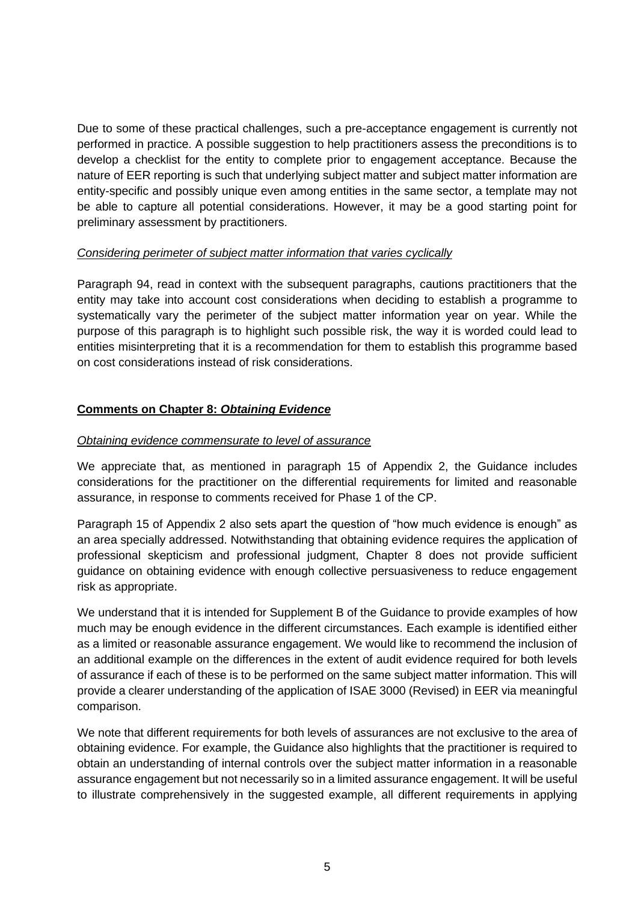Due to some of these practical challenges, such a pre-acceptance engagement is currently not performed in practice. A possible suggestion to help practitioners assess the preconditions is to develop a checklist for the entity to complete prior to engagement acceptance. Because the nature of EER reporting is such that underlying subject matter and subject matter information are entity-specific and possibly unique even among entities in the same sector, a template may not be able to capture all potential considerations. However, it may be a good starting point for preliminary assessment by practitioners.

### *Considering perimeter of subject matter information that varies cyclically*

Paragraph 94, read in context with the subsequent paragraphs, cautions practitioners that the entity may take into account cost considerations when deciding to establish a programme to systematically vary the perimeter of the subject matter information year on year. While the purpose of this paragraph is to highlight such possible risk, the way it is worded could lead to entities misinterpreting that it is a recommendation for them to establish this programme based on cost considerations instead of risk considerations.

# **Comments on Chapter 8:** *Obtaining Evidence*

### *Obtaining evidence commensurate to level of assurance*

We appreciate that, as mentioned in paragraph 15 of Appendix 2, the Guidance includes considerations for the practitioner on the differential requirements for limited and reasonable assurance, in response to comments received for Phase 1 of the CP.

Paragraph 15 of Appendix 2 also sets apart the question of "how much evidence is enough" as an area specially addressed. Notwithstanding that obtaining evidence requires the application of professional skepticism and professional judgment, Chapter 8 does not provide sufficient guidance on obtaining evidence with enough collective persuasiveness to reduce engagement risk as appropriate.

We understand that it is intended for Supplement B of the Guidance to provide examples of how much may be enough evidence in the different circumstances. Each example is identified either as a limited or reasonable assurance engagement. We would like to recommend the inclusion of an additional example on the differences in the extent of audit evidence required for both levels of assurance if each of these is to be performed on the same subject matter information. This will provide a clearer understanding of the application of ISAE 3000 (Revised) in EER via meaningful comparison.

We note that different requirements for both levels of assurances are not exclusive to the area of obtaining evidence. For example, the Guidance also highlights that the practitioner is required to obtain an understanding of internal controls over the subject matter information in a reasonable assurance engagement but not necessarily so in a limited assurance engagement. It will be useful to illustrate comprehensively in the suggested example, all different requirements in applying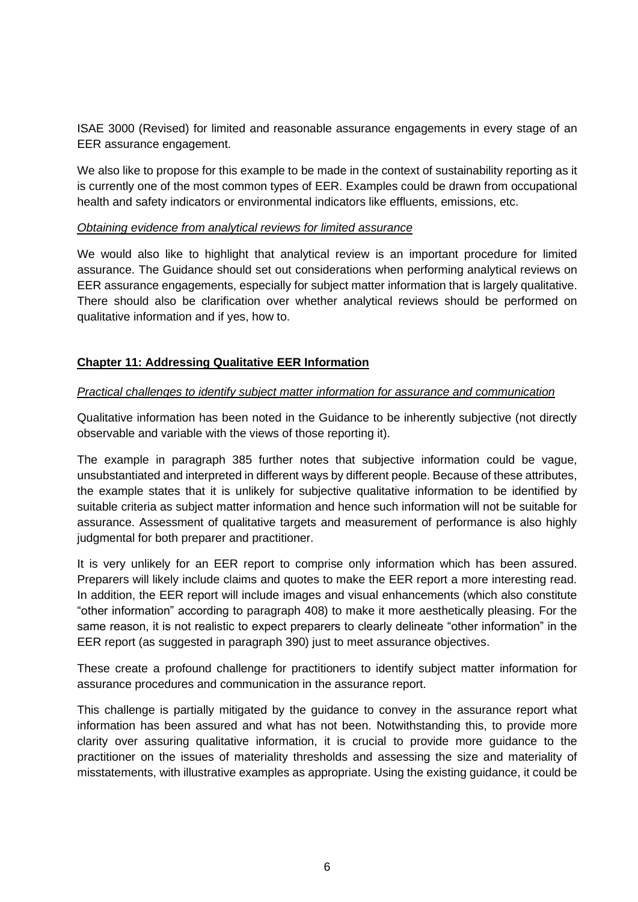ISAE 3000 (Revised) for limited and reasonable assurance engagements in every stage of an EER assurance engagement.

We also like to propose for this example to be made in the context of sustainability reporting as it is currently one of the most common types of EER. Examples could be drawn from occupational health and safety indicators or environmental indicators like effluents, emissions, etc.

### *Obtaining evidence from analytical reviews for limited assurance*

We would also like to highlight that analytical review is an important procedure for limited assurance. The Guidance should set out considerations when performing analytical reviews on EER assurance engagements, especially for subject matter information that is largely qualitative. There should also be clarification over whether analytical reviews should be performed on qualitative information and if yes, how to.

### **Chapter 11: Addressing Qualitative EER Information**

### *Practical challenges to identify subject matter information for assurance and communication*

Qualitative information has been noted in the Guidance to be inherently subjective (not directly observable and variable with the views of those reporting it).

The example in paragraph 385 further notes that subjective information could be vague, unsubstantiated and interpreted in different ways by different people. Because of these attributes, the example states that it is unlikely for subjective qualitative information to be identified by suitable criteria as subject matter information and hence such information will not be suitable for assurance. Assessment of qualitative targets and measurement of performance is also highly judgmental for both preparer and practitioner.

It is very unlikely for an EER report to comprise only information which has been assured. Preparers will likely include claims and quotes to make the EER report a more interesting read. In addition, the EER report will include images and visual enhancements (which also constitute "other information" according to paragraph 408) to make it more aesthetically pleasing. For the same reason, it is not realistic to expect preparers to clearly delineate "other information" in the EER report (as suggested in paragraph 390) just to meet assurance objectives.

These create a profound challenge for practitioners to identify subject matter information for assurance procedures and communication in the assurance report.

This challenge is partially mitigated by the guidance to convey in the assurance report what information has been assured and what has not been. Notwithstanding this, to provide more clarity over assuring qualitative information, it is crucial to provide more guidance to the practitioner on the issues of materiality thresholds and assessing the size and materiality of misstatements, with illustrative examples as appropriate. Using the existing guidance, it could be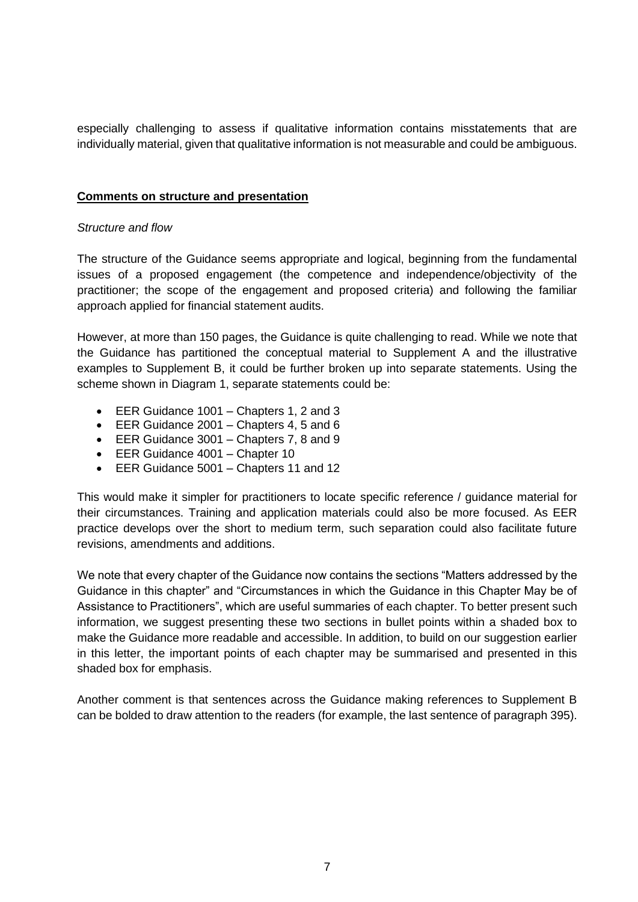especially challenging to assess if qualitative information contains misstatements that are individually material, given that qualitative information is not measurable and could be ambiguous.

### **Comments on structure and presentation**

### *Structure and flow*

The structure of the Guidance seems appropriate and logical, beginning from the fundamental issues of a proposed engagement (the competence and independence/objectivity of the practitioner; the scope of the engagement and proposed criteria) and following the familiar approach applied for financial statement audits.

However, at more than 150 pages, the Guidance is quite challenging to read. While we note that the Guidance has partitioned the conceptual material to Supplement A and the illustrative examples to Supplement B, it could be further broken up into separate statements. Using the scheme shown in Diagram 1, separate statements could be:

- EER Guidance 1001 Chapters 1, 2 and 3
- EER Guidance 2001 Chapters 4, 5 and 6
- EER Guidance 3001 Chapters 7, 8 and 9
- EER Guidance 4001 Chapter 10
- EER Guidance 5001 Chapters 11 and 12

This would make it simpler for practitioners to locate specific reference / guidance material for their circumstances. Training and application materials could also be more focused. As EER practice develops over the short to medium term, such separation could also facilitate future revisions, amendments and additions.

We note that every chapter of the Guidance now contains the sections "Matters addressed by the Guidance in this chapter" and "Circumstances in which the Guidance in this Chapter May be of Assistance to Practitioners", which are useful summaries of each chapter. To better present such information, we suggest presenting these two sections in bullet points within a shaded box to make the Guidance more readable and accessible. In addition, to build on our suggestion earlier in this letter, the important points of each chapter may be summarised and presented in this shaded box for emphasis.

Another comment is that sentences across the Guidance making references to Supplement B can be bolded to draw attention to the readers (for example, the last sentence of paragraph 395).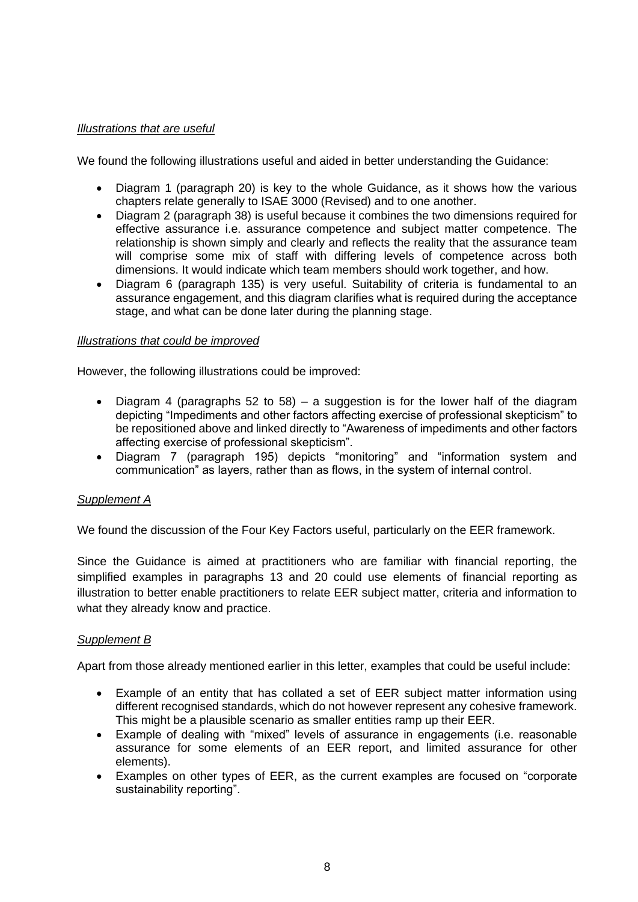## *Illustrations that are useful*

We found the following illustrations useful and aided in better understanding the Guidance:

- Diagram 1 (paragraph 20) is key to the whole Guidance, as it shows how the various chapters relate generally to ISAE 3000 (Revised) and to one another.
- Diagram 2 (paragraph 38) is useful because it combines the two dimensions required for effective assurance i.e. assurance competence and subject matter competence. The relationship is shown simply and clearly and reflects the reality that the assurance team will comprise some mix of staff with differing levels of competence across both dimensions. It would indicate which team members should work together, and how.
- Diagram 6 (paragraph 135) is very useful. Suitability of criteria is fundamental to an assurance engagement, and this diagram clarifies what is required during the acceptance stage, and what can be done later during the planning stage.

#### *Illustrations that could be improved*

However, the following illustrations could be improved:

- Diagram 4 (paragraphs 52 to 58) a suggestion is for the lower half of the diagram depicting "Impediments and other factors affecting exercise of professional skepticism" to be repositioned above and linked directly to "Awareness of impediments and other factors affecting exercise of professional skepticism".
- Diagram 7 (paragraph 195) depicts "monitoring" and "information system and communication" as layers, rather than as flows, in the system of internal control.

### *Supplement A*

We found the discussion of the Four Key Factors useful, particularly on the EER framework.

Since the Guidance is aimed at practitioners who are familiar with financial reporting, the simplified examples in paragraphs 13 and 20 could use elements of financial reporting as illustration to better enable practitioners to relate EER subject matter, criteria and information to what they already know and practice.

#### *Supplement B*

Apart from those already mentioned earlier in this letter, examples that could be useful include:

- Example of an entity that has collated a set of EER subject matter information using different recognised standards, which do not however represent any cohesive framework. This might be a plausible scenario as smaller entities ramp up their EER.
- Example of dealing with "mixed" levels of assurance in engagements (i.e. reasonable assurance for some elements of an EER report, and limited assurance for other elements).
- Examples on other types of EER, as the current examples are focused on "corporate sustainability reporting".